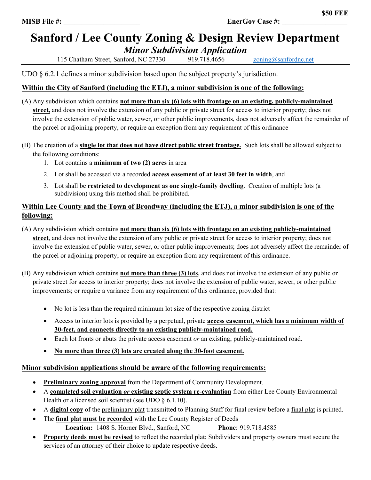## **Sanford / Lee County Zoning & Design Review Department** *Minor Subdivision Application*

115 Chatham Street, Sanford, NC 27330 919.718.4656 zoning@sanfordnc.net

UDO  $\S$  6.2.1 defines a minor subdivision based upon the subject property's jurisdiction.

### **Within the City of Sanford (including the ETJ), a minor subdivision is one of the following:**

- (A) Any subdivision which contains **not more than six (6) lots with frontage on an existing, publicly-maintained street,** and does not involve the extension of any public or private street for access to interior property; does not involve the extension of public water, sewer, or other public improvements, does not adversely affect the remainder of the parcel or adjoining property, or require an exception from any requirement of this ordinance
- (B) The creation of a **single lot that does not have direct public street frontage.** Such lots shall be allowed subject to the following conditions:
	- 1. Lot contains a **minimum of two (2) acres** in area
	- 2. Lot shall be accessed via a recorded **access easement of at least 30 feet in width**, and
	- 3. Lot shall be **restricted to development as one single-family dwelling**. Creation of multiple lots (a subdivision) using this method shall be prohibited.

#### **Within Lee County and the Town of Broadway (including the ETJ), a minor subdivision is one of the following:**

- (A) Any subdivision which contains **not more than six (6) lots with frontage on an existing publicly-maintained street**, and does not involve the extension of any public or private street for access to interior property; does not involve the extension of public water, sewer, or other public improvements; does not adversely affect the remainder of the parcel or adjoining property; or require an exception from any requirement of this ordinance.
- (B) Any subdivision which contains **not more than three (3) lots**, and does not involve the extension of any public or private street for access to interior property; does not involve the extension of public water, sewer, or other public improvements; or require a variance from any requirement of this ordinance, provided that:
	- No lot is less than the required minimum lot size of the respective zoning district
	- Access to interior lots is provided by a perpetual, private **access easement, which has a minimum width of 30-feet, and connects directly to an existing publicly-maintained road.**
	- Each lot fronts or abuts the private access easement *or* an existing, publicly-maintained road.
	- **No more than three (3) lots are created along the 30-foot easement.**

### **Minor subdivision applications should be aware of the following requirements:**

- **Preliminary zoning approval** from the Department of Community Development.
- A **completed soil evaluation** *or* **existing septic system re-evaluation** from either Lee County Environmental Health or a licensed soil scientist (see UDO  $\S$  6.1.10).
- A **digital copy** of the preliminary plat transmitted to Planning Staff for final review before a final plat is printed.
- The **final plat must be recorded** with the Lee County Register of Deeds **Location:** 1408 S. Horner Blvd., Sanford, NC **Phone**: 919.718.4585
- **Property deeds must be revised** to reflect the recorded plat; Subdividers and property owners must secure the services of an attorney of their choice to update respective deeds.